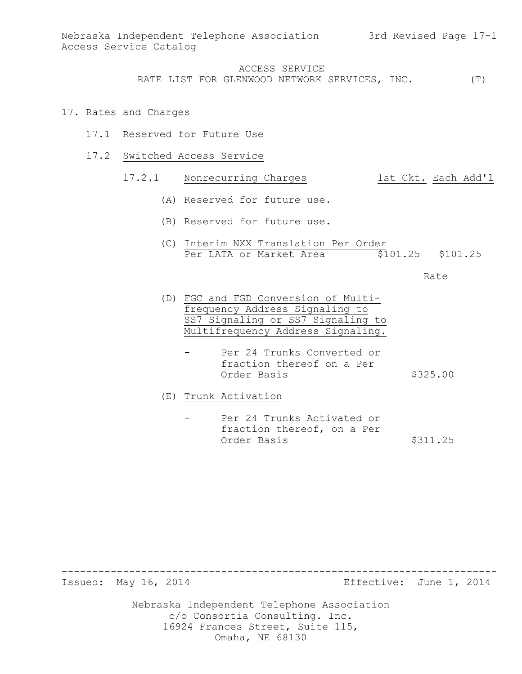#### 17. Rates and Charges

- 17.1 Reserved for Future Use
- 17.2 Switched Access Service

# 17.2.1 Nonrecurring Charges 1st Ckt. Each Add'l

- (A) Reserved for future use.
- (B) Reserved for future use.
- (C) Interim NXX Translation Per Order Per LATA or Market Area  $\overline{5101.25}$  \$101.25

#### Rate

- (D) FGC and FGD Conversion of Multifrequency Address Signaling to SS7 Signaling or SS7 Signaling to Multifrequency Address Signaling.
	- Per 24 Trunks Converted or fraction thereof on a Per Order Basis  $$325.00$
- (E) Trunk Activation
	- Per 24 Trunks Activated or fraction thereof, on a Per Order Basis \$311.25

Issued: May 16, 2014 Effective: June 1, 2014

Nebraska Independent Telephone Association c/o Consortia Consulting. Inc. 16924 Frances Street, Suite 115, Omaha, NE 68130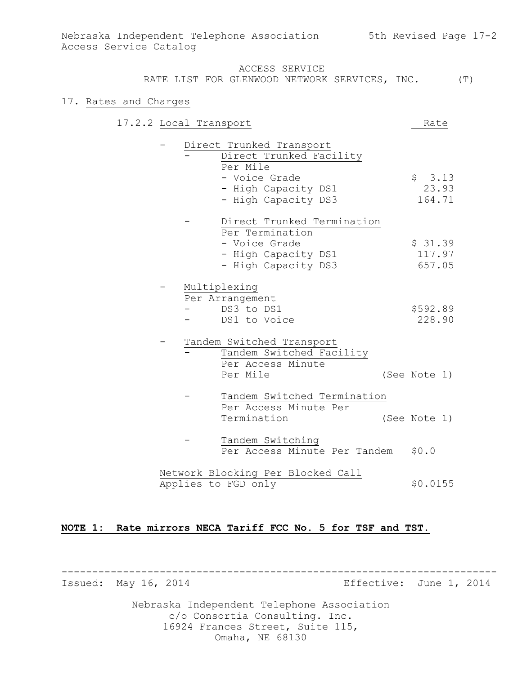### ACCESS SERVICE

RATE LIST FOR GLENWOOD NETWORK SERVICES, INC. (T)

#### 17. Rates and Charges

| 17.2.2 Local Transport |  |                                                                 |                                                                                                                    |                                    | Rate                        |       |
|------------------------|--|-----------------------------------------------------------------|--------------------------------------------------------------------------------------------------------------------|------------------------------------|-----------------------------|-------|
|                        |  | Per Mile                                                        | Direct Trunked Transport<br>Direct Trunked Facility<br>- Voice Grade<br>- High Capacity DS1<br>- High Capacity DS3 |                                    | \$3.13<br>164.71            | 23.93 |
|                        |  |                                                                 | Per Termination<br>- Voice Grade<br>- High Capacity DS1<br>- High Capacity DS3                                     | Direct Trunked Termination         | \$31.39<br>117.97<br>657.05 |       |
|                        |  | Multiplexing<br>Per Arrangement<br>- DS3 to DS1<br>DS1 to Voice |                                                                                                                    |                                    | \$592.89<br>228.90          |       |
|                        |  | Per Mile                                                        | Tandem Switched Transport<br>Tandem Switched Facility<br>Per Access Minute                                         |                                    | (See Note 1)                |       |
|                        |  | Termination                                                     | Per Access Minute Per                                                                                              | Tandem Switched Termination        | (See Note 1)                |       |
|                        |  |                                                                 | Tandem Switching                                                                                                   | Per Access Minute Per Tandem \$0.0 |                             |       |
|                        |  | Applies to FGD only                                             | Network Blocking Per Blocked Call                                                                                  |                                    | \$0.0155                    |       |
|                        |  |                                                                 |                                                                                                                    |                                    |                             |       |

#### **NOTE 1: Rate mirrors NECA Tariff FCC No. 5 for TSF and TST.**

----------------------------------------------------------------------- Issued: May 16, 2014 **Example 2014** Effective: June 1, 2014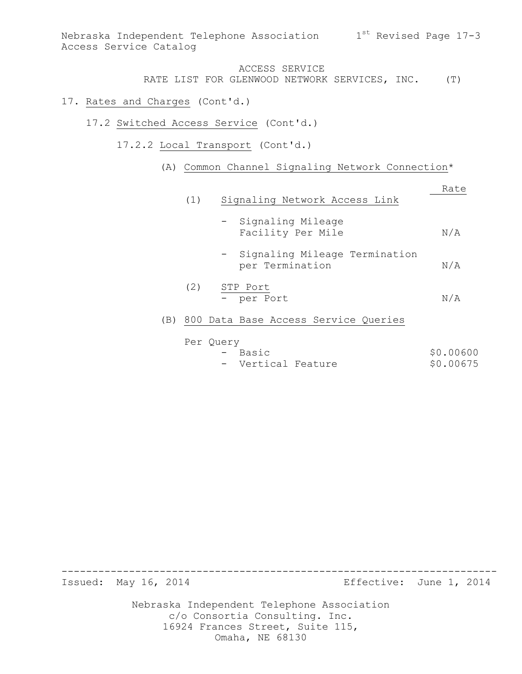Nebraska Independent Telephone Association  $1^{\rm st}$  Revised Page 17-3 Access Service Catalog

# ACCESS SERVICE

RATE LIST FOR GLENWOOD NETWORK SERVICES, INC. (T)

#### 17. Rates and Charges (Cont'd.)

- 17.2 Switched Access Service (Cont'd.)
	- 17.2.2 Local Transport (Cont'd.)
		- (A) Common Channel Signaling Network Connection\*

|     | (1) | Signaling Network Access Link                      | Rate |
|-----|-----|----------------------------------------------------|------|
|     |     | - Signaling Mileage<br>Facility Per Mile           | N/A  |
|     |     | - Signaling Mileage Termination<br>per Termination | N/A  |
|     | (2) | STP Port<br>- per Port                             | N/A  |
| (B) |     | 800 Data Base Access Service Queries               |      |
|     |     | Per Ouery                                          |      |

|  | - Basic            |  | \$0.00600 |
|--|--------------------|--|-----------|
|  | - Vertical Feature |  | \$0.00675 |

Issued: May 16, 2014 Effective: June 1, 2014

Nebraska Independent Telephone Association c/o Consortia Consulting. Inc. 16924 Frances Street, Suite 115, Omaha, NE 68130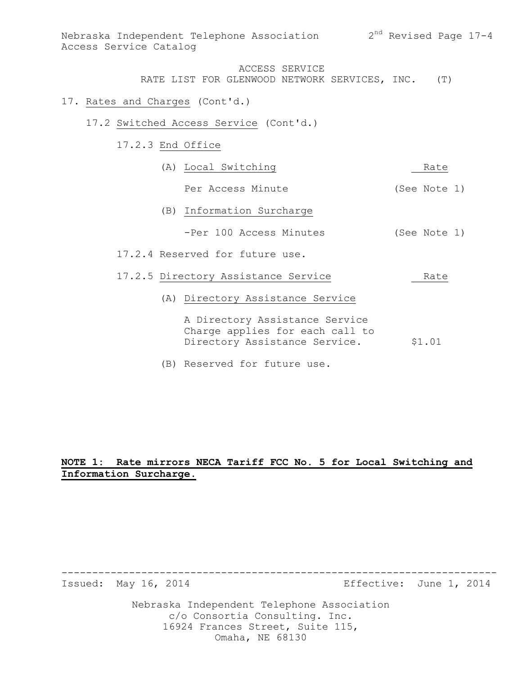#### 17. Rates and Charges (Cont'd.)

- 17.2 Switched Access Service (Cont'd.)
	- 17.2.3 End Office

| (A) Local Switching                                                                                | Rate         |  |  |
|----------------------------------------------------------------------------------------------------|--------------|--|--|
| Per Access Minute                                                                                  | (See Note 1) |  |  |
| (B) Information Surcharge                                                                          |              |  |  |
| -Per 100 Access Minutes                                                                            | (See Note 1) |  |  |
| 17.2.4 Reserved for future use.                                                                    |              |  |  |
| 17.2.5 Directory Assistance Service                                                                | Rate         |  |  |
| (A) Directory Assistance Service                                                                   |              |  |  |
| A Directory Assistance Service<br>Charge applies for each call to<br>Directory Assistance Service. | \$1.01       |  |  |

(B) Reserved for future use.

# **NOTE 1: Rate mirrors NECA Tariff FCC No. 5 for Local Switching and Information Surcharge.**

Issued: May 16, 2014 **Example 2014** Effective: June 1, 2014

Nebraska Independent Telephone Association c/o Consortia Consulting. Inc. 16924 Frances Street, Suite 115, Omaha, NE 68130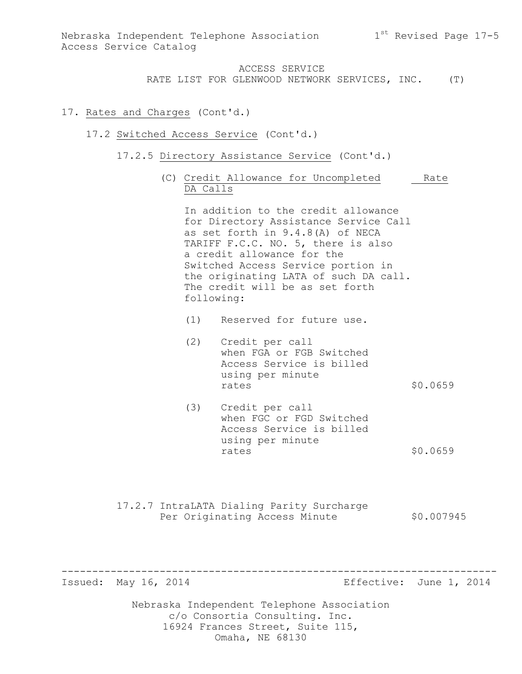ACCESS SERVICE

RATE LIST FOR GLENWOOD NETWORK SERVICES, INC. (T)

### 17. Rates and Charges (Cont'd.)

#### 17.2 Switched Access Service (Cont'd.)

- 17.2.5 Directory Assistance Service (Cont'd.)
	- (C) Credit Allowance for Uncompleted Rate DA Calls

In addition to the credit allowance for Directory Assistance Service Call as set forth in 9.4.8(A) of NECA TARIFF F.C.C. NO. 5, there is also a credit allowance for the Switched Access Service portion in the originating LATA of such DA call. The credit will be as set forth following:

(1) Reserved for future use.

- (2) Credit per call when FGA or FGB Switched Access Service is billed using per minute rates \$0.0659
- (3) Credit per call when FGC or FGD Switched Access Service is billed using per minute rates  $$0.0659$

-----------------------------------------------------------------------

17.2.7 IntraLATA Dialing Parity Surcharge Per Originating Access Minute  $$0.007945$ 

Issued: May 16, 2014 Effective: June 1, 2014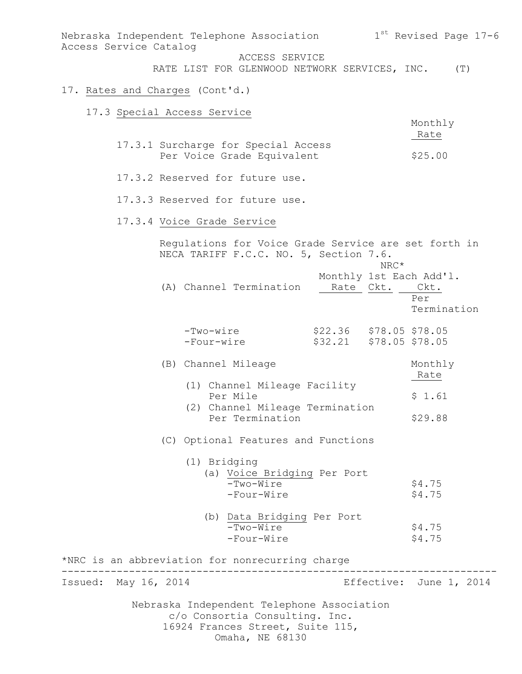Nebraska Independent Telephone Association 1 $^{\rm st}$  Revised Page 17-6 Access Service Catalog ACCESS SERVICE RATE LIST FOR GLENWOOD NETWORK SERVICES, INC. (T) 17. Rates and Charges (Cont'd.) 17.3 Special Access Service Monthly Rate 17.3.1 Surcharge for Special Access Per Voice Grade Equivalent \$25.00 17.3.2 Reserved for future use. 17.3.3 Reserved for future use. 17.3.4 Voice Grade Service Regulations for Voice Grade Service are set forth in NECA TARIFF F.C.C. NO. 5, Section 7.6. NRC\* Monthly 1st Each Add'l. (A) Channel Termination Rate Ckt. Ckt. Per Termination -Two-wire \$22.36 \$78.05<br>-Four-wire \$32.21 \$78.05 \$78.05  $$32.21$   $$78.05$   $$78.05$ (B) Channel Mileage Monthly **Rate**  (1) Channel Mileage Facility Per Mile  $$1.61$  (2) Channel Mileage Termination Per Termination  $$29.88$ (C) Optional Features and Functions (1) Bridging (a) Voice Bridging Per Port  $-Two-Wire$  \$4.75  $-Four-Wire$  \$4.75 (b) Data Bridging Per Port  $-Two-Wire$  \$4.75  $-Four-Wire$  \$4.75 \*NRC is an abbreviation for nonrecurring charge ----------------------------------------------------------------------- Issued: May 16, 2014 **Example 2014** Effective: June 1, 2014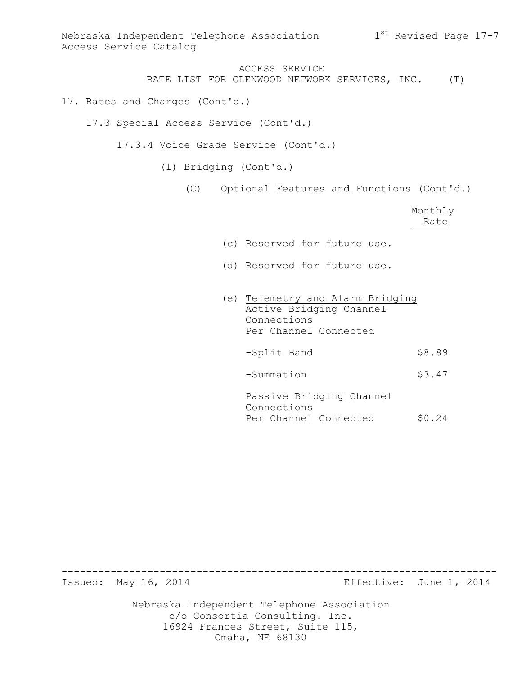### 17. Rates and Charges (Cont'd.)

- 17.3 Special Access Service (Cont'd.)
	- 17.3.4 Voice Grade Service (Cont'd.)
		- (1) Bridging (Cont'd.)
			- (C) Optional Features and Functions (Cont'd.)

| Monthly |
|---------|
| Rate    |

- (c) Reserved for future use.
- (d) Reserved for future use.
- (e) Telemetry and Alarm Bridging Active Bridging Channel Connections Per Channel Connected
	- -Split Band \$8.89
	- -Summation \$3.47

Passive Bridging Channel Connections Per Channel Connected \$0.24

Issued: May 16, 2014 Effective: June 1, 2014

Nebraska Independent Telephone Association c/o Consortia Consulting. Inc. 16924 Frances Street, Suite 115, Omaha, NE 68130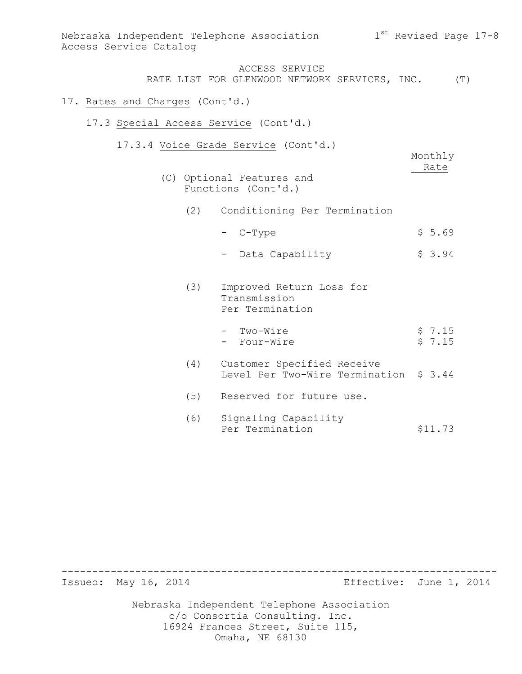| Access Service Catalog                |     | Nebraska Independent Telephone Association                                               | 1 <sup>st</sup> Revised Page 17-8 |                  |  |
|---------------------------------------|-----|------------------------------------------------------------------------------------------|-----------------------------------|------------------|--|
|                                       |     | ACCESS SERVICE<br>RATE LIST FOR GLENWOOD NETWORK SERVICES, INC. (T)                      |                                   |                  |  |
| 17. Rates and Charges (Cont'd.)       |     |                                                                                          |                                   |                  |  |
| 17.3 Special Access Service (Cont'd.) |     |                                                                                          |                                   |                  |  |
|                                       |     | 17.3.4 Voice Grade Service (Cont'd.)<br>(C) Optional Features and<br>Functions (Cont'd.) |                                   | Monthly<br>Rate  |  |
|                                       | (2) | Conditioning Per Termination                                                             |                                   |                  |  |
|                                       |     | C-Type                                                                                   |                                   | \$5.69           |  |
|                                       |     | Data Capability                                                                          |                                   | \$3.94           |  |
|                                       | (3) | Improved Return Loss for<br>Transmission<br>Per Termination                              |                                   |                  |  |
|                                       |     | - Two-Wire<br>- Four-Wire                                                                |                                   | \$7.15<br>\$7.15 |  |
|                                       | (4) | Customer Specified Receive<br>Level Per Two-Wire Termination \$ 3.44                     |                                   |                  |  |
|                                       | (5) | Reserved for future use.                                                                 |                                   |                  |  |
|                                       | (6) | Signaling Capability<br>Per Termination                                                  |                                   | \$11.73          |  |

----------------------------------------------------------------------- Effective: June 1, 2014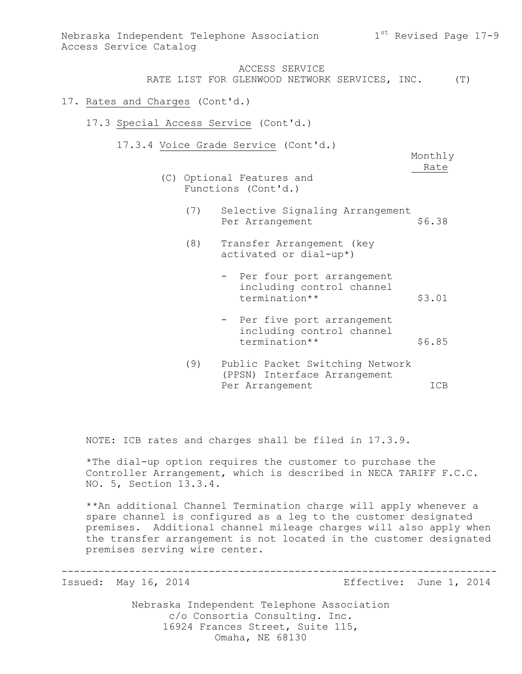| Access Service Catalog          |     | Nebraska Independent Telephone Association                                               | 1 <sup>st</sup> Revised Page 17-9 |  |
|---------------------------------|-----|------------------------------------------------------------------------------------------|-----------------------------------|--|
|                                 |     | ACCESS SERVICE<br>RATE LIST FOR GLENWOOD NETWORK SERVICES, INC. (T)                      |                                   |  |
| 17. Rates and Charges (Cont'd.) |     |                                                                                          |                                   |  |
|                                 |     | 17.3 Special Access Service (Cont'd.)                                                    |                                   |  |
|                                 |     | 17.3.4 Voice Grade Service (Cont'd.)<br>(C) Optional Features and<br>Functions (Cont'd.) | Monthly<br>Rate                   |  |
|                                 | (7) | Selective Signaling Arrangement<br>Per Arrangement                                       | \$6.38                            |  |
|                                 | (8) | Transfer Arrangement (key<br>activated or dial-up*)                                      |                                   |  |
|                                 |     | - Per four port arrangement<br>including control channel<br>termination**                | \$3.01                            |  |
|                                 |     | - Per five port arrangement<br>including control channel<br>termination**                | \$6.85                            |  |

(9) Public Packet Switching Network (PPSN) Interface Arrangement Per Arrangement ICB

NOTE: ICB rates and charges shall be filed in 17.3.9.

\*The dial-up option requires the customer to purchase the Controller Arrangement, which is described in NECA TARIFF F.C.C. NO. 5, Section 13.3.4.

\*\*An additional Channel Termination charge will apply whenever a spare channel is configured as a leg to the customer designated premises. Additional channel mileage charges will also apply when the transfer arrangement is not located in the customer designated premises serving wire center.

-----------------------------------------------------------------------

Issued: May 16, 2014 Effective: June 1, 2014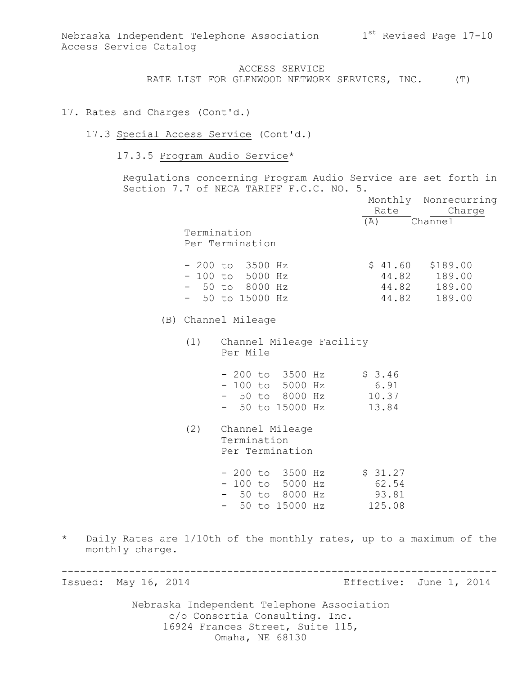### 17. Rates and Charges (Cont'd.)

#### 17.3 Special Access Service (Cont'd.)

17.3.5 Program Audio Service\*

Regulations concerning Program Audio Service are set forth in Section 7.7 of NECA TARIFF F.C.C. NO. 5.

|        |     |                                                                                                        |  | Rate                    | Monthly Nonrecurring<br>Charge                               |  |
|--------|-----|--------------------------------------------------------------------------------------------------------|--|-------------------------|--------------------------------------------------------------|--|
|        |     | Termination<br>Per Termination                                                                         |  | (A) Channel             |                                                              |  |
|        |     | $-200$ to 3500 Hz<br>$-100$ to 5000 Hz<br>$-50$ to 8000 Hz<br>$-50$ to 15000 Hz                        |  | 44.82                   | $$41.60$ $$189.00$<br>44.82 189.00<br>44.82 189.00<br>189.00 |  |
|        |     | (B) Channel Mileage                                                                                    |  |                         |                                                              |  |
|        |     | (1) Channel Mileage Facility<br>Per Mile                                                               |  |                         |                                                              |  |
|        |     | $-200$ to $3500$ Hz<br>- 100 to 5000 Hz<br>$-50$ to $8000$ Hz $10.37$<br>- 50 to 15000 Hz              |  | \$3.46<br>6.91<br>13.84 |                                                              |  |
|        | (2) | Channel Mileage<br>Termination<br>Per Termination                                                      |  |                         |                                                              |  |
|        |     | $-200$ to 3500 Hz $\frac{27}{100}$<br>$-100$ to 5000 Hz<br>- 50 to 8000 Hz<br>$-50$ to 15000 Hz 125.08 |  | 62.54<br>93.81          |                                                              |  |
| charge |     |                                                                                                        |  |                         | ates are 1/10th of the monthly rates, up to a maximum of the |  |

\* Daily Ra monthly charge.

Issued: May 16, 2014 **Example 2014** Effective: June 1, 2014

Nebraska Independent Telephone Association c/o Consortia Consulting. Inc. 16924 Frances Street, Suite 115, Omaha, NE 68130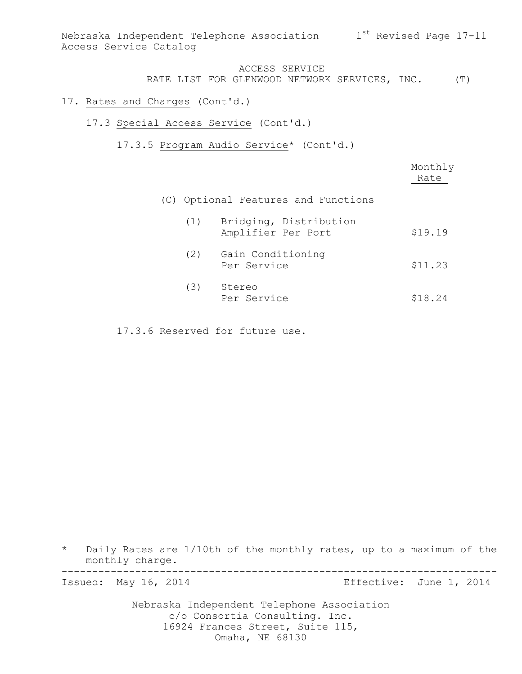Nebraska Independent Telephone Association 1st Revised Page 17-11 Access Service Catalog

### ACCESS SERVICE RATE LIST FOR GLENWOOD NETWORK SERVICES, INC. (T)

#### 17. Rates and Charges (Cont'd.)

- 17.3 Special Access Service (Cont'd.)
	- 17.3.5 Program Audio Service\* (Cont'd.)

|     |                                              | Monthly<br>Rate |
|-----|----------------------------------------------|-----------------|
|     | (C) Optional Features and Functions          |                 |
| (1) | Bridging, Distribution<br>Amplifier Per Port | \$19.19         |
| (2) | Gain Conditioning<br>Per Service             | \$11.23         |
| (3) | Stereo<br>Per Service                        | \$18.24         |

17.3.6 Reserved for future use.

\* Daily Rates are 1/10th of the monthly rates, up to a maximum of the monthly charge. -----------------------------------------------------------------------

Issued: May 16, 2014 **Example 2014** Effective: June 1, 2014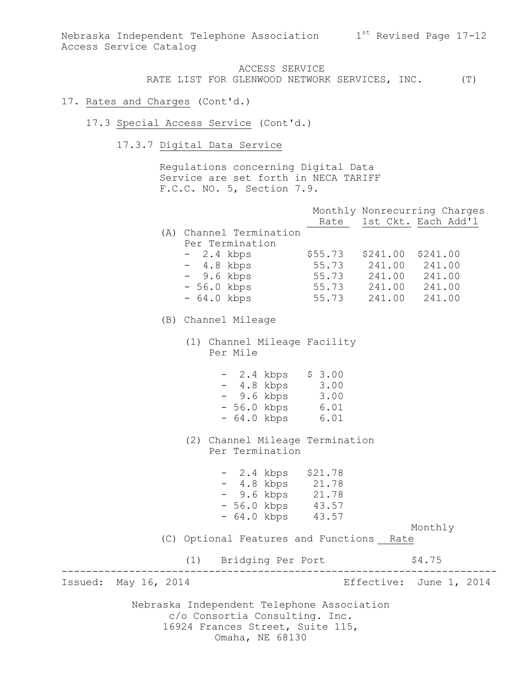Nebraska Independent Telephone Association  $1^{st}$  Revised Page 17-12 Access Service Catalog

> ACCESS SERVICE RATE LIST FOR GLENWOOD NETWORK SERVICES, INC. (T)

### 17. Rates and Charges (Cont'd.)

- 17.3 Special Access Service (Cont'd.)
	- 17.3.7 Digital Data Service

Regulations concerning Digital Data Service are set forth in NECA TARIFF F.C.C. NO. 5, Section 7.9.

|                         |                                                                                                                  |           |                                                                                          | Monthly Nonrecurring Charges<br>Rate 1st Ckt. Each Add'l |
|-------------------------|------------------------------------------------------------------------------------------------------------------|-----------|------------------------------------------------------------------------------------------|----------------------------------------------------------|
|                         | (A) Channel Termination<br>Per Termination                                                                       |           |                                                                                          |                                                          |
|                         | $-2.4$ kbps<br>- 4.8 kbps<br>- 9.6 kbps                                                                          |           | $$241.00$ $$241.00$<br>55.73 241.00 241.00<br>55.73 241.00 241.00<br>55.73 241.00 241.00 |                                                          |
|                         | $-56.0$ kbps<br>- 64.0 kbps                                                                                      | 55.73     | 241.00 241.00                                                                            |                                                          |
|                         | (B) Channel Mileage                                                                                              |           |                                                                                          |                                                          |
|                         | (1) Channel Mileage Facility<br>Per Mile                                                                         |           |                                                                                          |                                                          |
|                         | $-2.4$ kbps $$3.00$<br>- 4.8 kbps 3.00<br>- 9.6 kbps 3.00<br>- 56.0 kbps 6.01<br>- 64.0 kbps 6.01                |           |                                                                                          |                                                          |
|                         | (2) Channel Mileage Termination<br>Per Termination                                                               |           |                                                                                          |                                                          |
|                         | $-2.4$ kbps $$21.78$<br>- 4.8 kbps 21.78<br>- 9.6 kbps 21.78<br>- 56.0 kbps 43.57<br>- 64.0 kbps 43.57           |           |                                                                                          | Monthly                                                  |
|                         | (C) Optional Features and Functions Rate                                                                         |           |                                                                                          |                                                          |
|                         | (1) Bridging Per Port                                                                                            | --------- |                                                                                          | \$4.75                                                   |
| Issued:<br>May 16, 2014 |                                                                                                                  |           |                                                                                          | Effective: June 1, 2014                                  |
|                         | Nebraska Independent Telephone Association<br>c/o Consortia Consulting. Inc.<br>16924 Frances Street, Suite 115, |           |                                                                                          |                                                          |

Omaha, NE 68130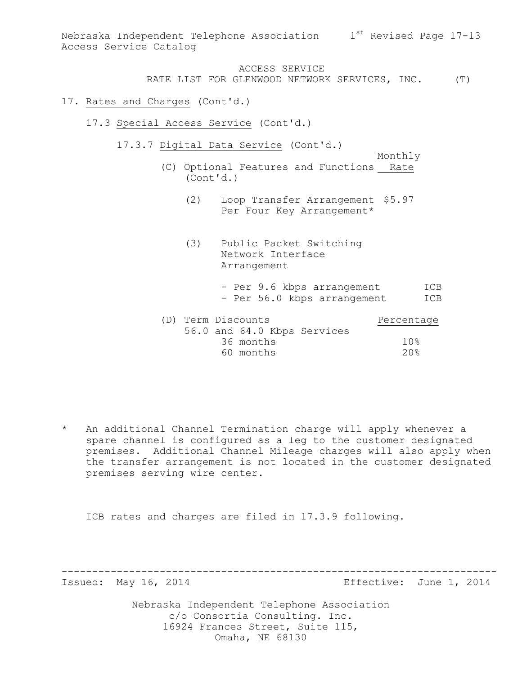Nebraska Independent Telephone Association 1st Revised Page 17-13 Access Service Catalog

# ACCESS SERVICE RATE LIST FOR GLENWOOD NETWORK SERVICES, INC. (T)

#### 17. Rates and Charges (Cont'd.)

- 17.3 Special Access Service (Cont'd.)
	- 17.3.7 Digital Data Service (Cont'd.)
		- Monthly (C) Optional Features and Functions Rate (Cont'd.)
			- (2) Loop Transfer Arrangement \$5.97 Per Four Key Arrangement\*
			- (3) Public Packet Switching Network Interface Arrangement
				- Per 9.6 kbps arrangement ICB - Per 56.0 kbps arrangement ICB
		- (D) Term Discounts Percentage 56.0 and 64.0 Kbps Services 36 months 10% 60 months 20%

-----------------------------------------------------------------------

\* An additional Channel Termination charge will apply whenever a spare channel is configured as a leg to the customer designated premises. Additional Channel Mileage charges will also apply when the transfer arrangement is not located in the customer designated premises serving wire center.

ICB rates and charges are filed in 17.3.9 following.

Issued: May 16, 2014 Effective: June 1, 2014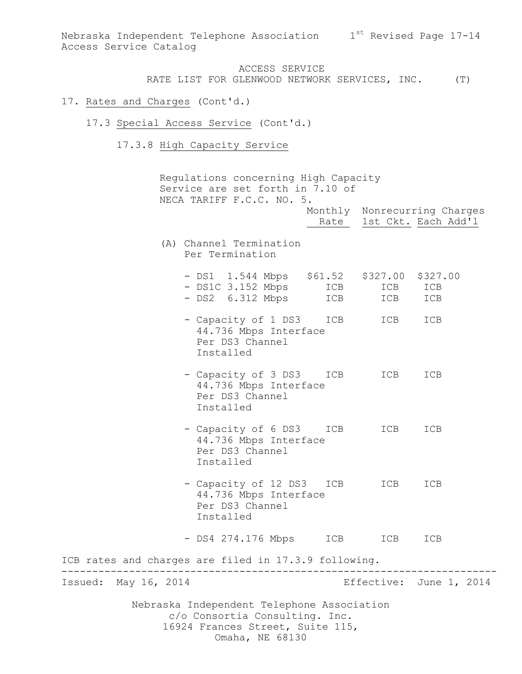Nebraska Independent Telephone Association 1st Revised Page 17-14 Access Service Catalog

> ACCESS SERVICE RATE LIST FOR GLENWOOD NETWORK SERVICES, INC. (T)

#### 17. Rates and Charges (Cont'd.)

- 17.3 Special Access Service (Cont'd.)
	- 17.3.8 High Capacity Service

Nebraska Independent Telephone Association c/o Consortia Consulting. Inc. 16924 Frances Street, Suite 115, Regulations concerning High Capacity Service are set forth in 7.10 of NECA TARIFF F.C.C. NO. 5. Monthly Nonrecurring Charges Rate 1st Ckt. Each Add'1 (A) Channel Termination Per Termination - DS1 1.544 Mbps \$61.52 \$327.00 \$327.00 - DS1C 3.152 Mbps ICB ICB ICB - DS2 6.312 Mbps ICB ICB ICB - Capacity of 1 DS3 ICB ICB ICB 44.736 Mbps Interface Per DS3 Channel Installed - Capacity of 3 DS3 ICB ICB ICB 44.736 Mbps Interface Per DS3 Channel Installed - Capacity of 6 DS3 ICB ICB ICB 44.736 Mbps Interface Per DS3 Channel Installed - Capacity of 12 DS3 ICB ICB ICB 44.736 Mbps Interface Per DS3 Channel Installed - DS4 274.176 Mbps ICB ICB ICB ICB rates and charges are filed in 17.3.9 following. ----------------------------------------------------------------------- Issued: May 16, 2014 Effective: June 1, 2014

Omaha, NE 68130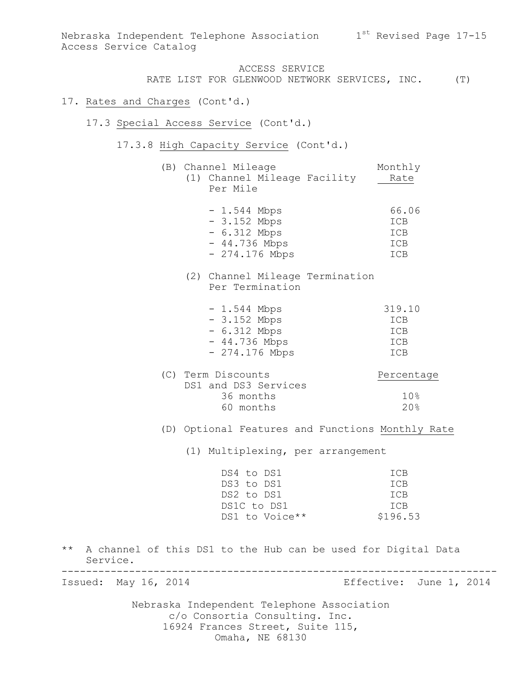#### 17. Rates and Charges (Cont'd.)

#### 17.3 Special Access Service (Cont'd.)

17.3.8 High Capacity Service (Cont'd.)

|  | (B) Channel Mileage |  | Monthly                      |      |  |
|--|---------------------|--|------------------------------|------|--|
|  |                     |  | (1) Channel Mileage Facility | Rate |  |
|  | Per Mile            |  |                              |      |  |

| $-1.544$ Mbps   | 66.06 |
|-----------------|-------|
| $-3.152$ Mbps   | ICB   |
| $-6.312$ Mbps   | ICB   |
| $-44.736$ Mbps  | ICB   |
| $-274.176$ Mbps | TCB   |

# (2) Channel Mileage Termination Per Termination

| $-1.544$ Mbps   | 319.10 |
|-----------------|--------|
| $-3.152$ Mbps   | ICB    |
| $-6.312$ Mbps   | ICB    |
| $-44.736$ Mbps  | ICB    |
| $-274.176$ Mbps | ICB    |

| Percentage |
|------------|
|            |
|            |
| 20%        |
|            |

(D) Optional Features and Functions Monthly Rate

(1) Multiplexing, per arrangement

| DS4 to DS1     | <b>TCB</b> |
|----------------|------------|
| DS3 to DS1     | <b>TCB</b> |
| DS2 to DS1     | <b>TCB</b> |
| DS1C to DS1    | TCB        |
| DS1 to Voice** | \$196.53   |

\*\* A channel of this DS1 to the Hub can be used for Digital Data Service. -----------------------------------------------------------------------

Issued: May 16, 2014 **Example 2014** Effective: June 1, 2014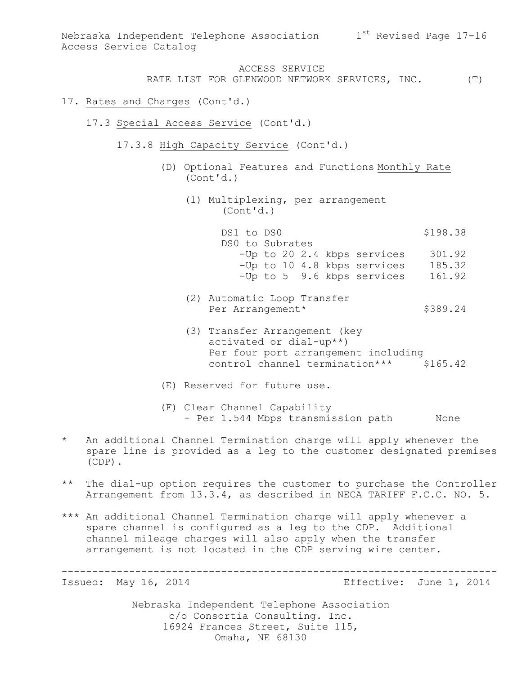### 17. Rates and Charges (Cont'd.)

- 17.3 Special Access Service (Cont'd.)
	- 17.3.8 High Capacity Service (Cont'd.)
		- (D) Optional Features and Functions Monthly Rate (Cont'd.)
			- (1) Multiplexing, per arrangement (Cont'd.)

DS1 to DS0 \$198.38 DS0 to Subrates -Up to 20 2.4 kbps services 301.92 -Up to 10 4.8 kbps services 185.32 -Up to 5 9.6 kbps services 161.92

- (2) Automatic Loop Transfer Per Arrangement\* \$389.24
- (3) Transfer Arrangement (key activated or dial-up\*\*) Per four port arrangement including control channel termination\*\*\* \$165.42
- (E) Reserved for future use.
- (F) Clear Channel Capability - Per 1.544 Mbps transmission path None
- \* An additional Channel Termination charge will apply whenever the spare line is provided as a leg to the customer designated premises (CDP).
- \*\* The dial-up option requires the customer to purchase the Controller Arrangement from 13.3.4, as described in NECA TARIFF F.C.C. NO. 5.

-----------------------------------------------------------------------

\*\*\* An additional Channel Termination charge will apply whenever a spare channel is configured as a leg to the CDP. Additional channel mileage charges will also apply when the transfer arrangement is not located in the CDP serving wire center.

Issued: May 16, 2014 Effective: June 1, 2014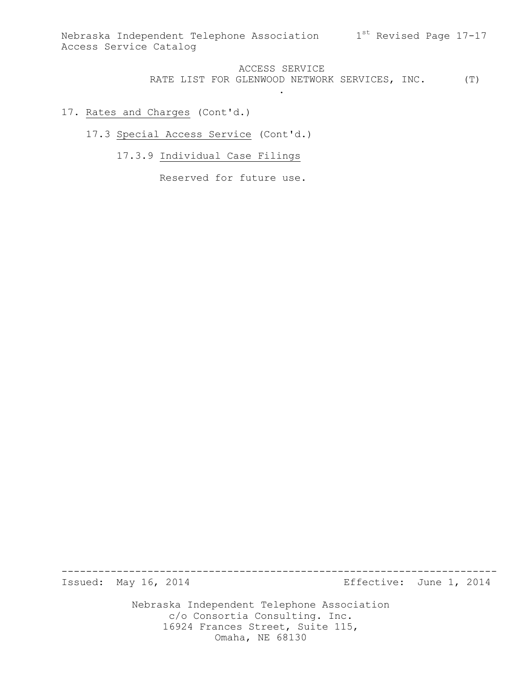.

# ACCESS SERVICE RATE LIST FOR GLENWOOD NETWORK SERVICES, INC. (T)

## 17. Rates and Charges (Cont'd.)

17.3 Special Access Service (Cont'd.)

17.3.9 Individual Case Filings

Reserved for future use.

Issued: May 16, 2014 **Example 2014** Effective: June 1, 2014

Nebraska Independent Telephone Association c/o Consortia Consulting. Inc. 16924 Frances Street, Suite 115, Omaha, NE 68130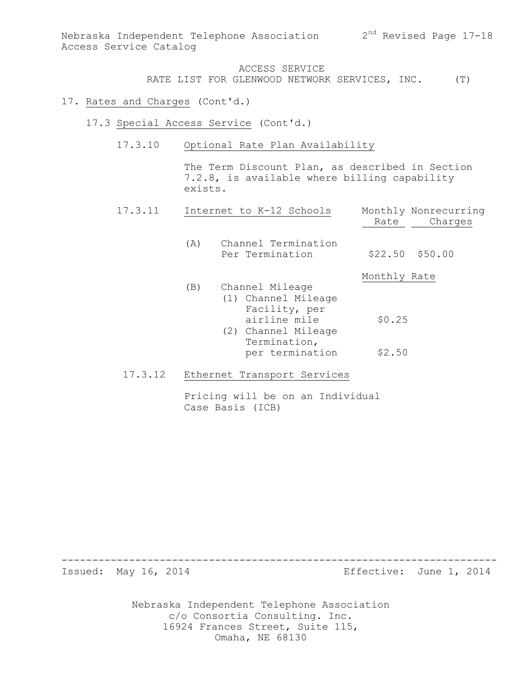### 17. Rates and Charges (Cont'd.)

- 17.3 Special Access Service (Cont'd.)
	- 17.3.10 Optional Rate Plan Availability

The Term Discount Plan, as described in Section 7.2.8, is available where billing capability exists.

| 17.3.11 | Internet to K-12 Schools                                                                                                                 | Monthly Nonrecurring<br>Charges<br>Rate |
|---------|------------------------------------------------------------------------------------------------------------------------------------------|-----------------------------------------|
|         | Channel Termination<br>(A)<br>Per Termination                                                                                            | $$22.50$ $$50.00$                       |
|         | Channel Mileage<br>(B)<br>(1) Channel Mileage<br>Facility, per<br>airline mile<br>(2) Channel Mileage<br>Termination,<br>per termination | Monthly Rate<br>\$0.25<br>\$2.50        |
| 17.3.12 | Ethernet Transport Services                                                                                                              |                                         |

# Pricing will be on an Individual Case Basis (ICB)

Issued: May 16, 2014 **Effective:** June 1, 2014

Nebraska Independent Telephone Association c/o Consortia Consulting. Inc. 16924 Frances Street, Suite 115, Omaha, NE 68130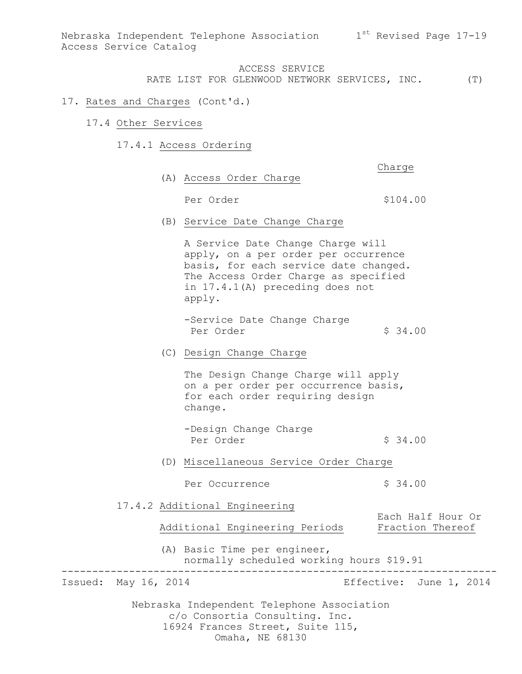Nebraska Independent Telephone Association  $1^{st}$  Revised Page 17-19 Access Service Catalog

> ACCESS SERVICE RATE LIST FOR GLENWOOD NETWORK SERVICES, INC. (T)

### 17. Rates and Charges (Cont'd.)

- 17.4 Other Services
	- 17.4.1 Access Ordering

Charge

(A) Access Order Charge

Per Order  $$104.00$ 

(B) Service Date Change Charge

A Service Date Change Charge will apply, on a per order per occurrence basis, for each service date changed. The Access Order Charge as specified in 17.4.1(A) preceding does not apply.

-Service Date Change Charge Per Order  $\qquad \qquad$  \$ 34.00

(C) Design Change Charge

The Design Change Charge will apply on a per order per occurrence basis, for each order requiring design change.

-Design Change Charge Per Order  $\sim$  \$ 34.00

(D) Miscellaneous Service Order Charge

Per Occurrence  $\frac{1}{2}$  \$ 34.00

17.4.2 Additional Engineering

Each Half Hour Or<br>Fraction Thereof Additional Engineering Periods

(A) Basic Time per engineer, normally scheduled working hours \$19.91

-----------------------------------------------------------------------

Issued: May 16, 2014 Effective: June 1, 2014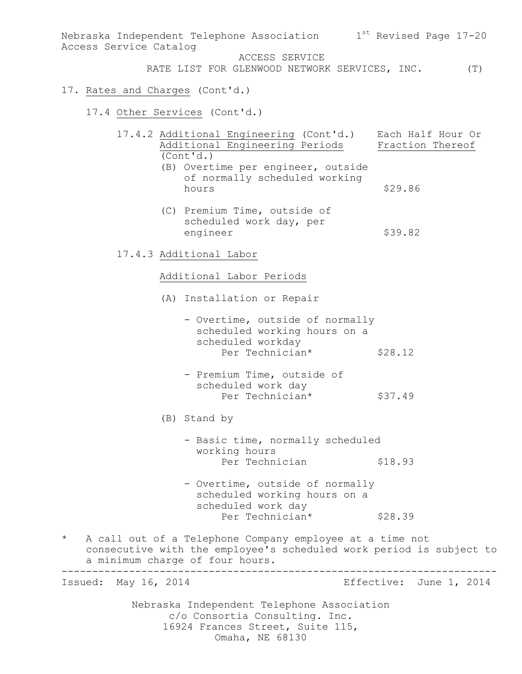Nebraska Independent Telephone Association  $1^\mathrm{st}$  Revised Page 17-20 Access Service Catalog ACCESS SERVICE RATE LIST FOR GLENWOOD NETWORK SERVICES, INC. (T) 17. Rates and Charges (Cont'd.) 17.4 Other Services (Cont'd.) 17.4.2 Additional Engineering (Cont'd.) Each Half Hour Or Additional Engineering Periods Fraction Thereof (Cont'd.) (B) Overtime per engineer, outside of normally scheduled working hours \$29.86 (C) Premium Time, outside of scheduled work day, per engineer \$39.82 17.4.3 Additional Labor Additional Labor Periods (A) Installation or Repair - Overtime, outside of normally scheduled working hours on a scheduled workday Per Technician\* \$28.12 - Premium Time, outside of scheduled work day Per Technician\* \$37.49 (B) Stand by - Basic time, normally scheduled working hours Per Technician \$18.93 - Overtime, outside of normally scheduled working hours on a scheduled work day Per Technician\* \$28.39 \* A call out of a Telephone Company employee at a time not consecutive with the employee's scheduled work period is subject to a minimum charge of four hours. ----------------------------------------------------------------------- Issued: May 16, 2014 Effective: June 1, 2014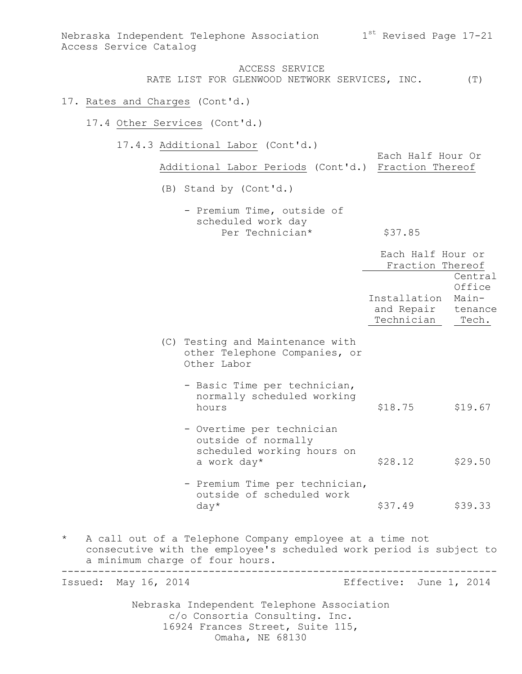Nebraska Independent Telephone Association  $1^{\rm st}$  Revised Page 17-21 Access Service Catalog

ACCESS SERVICE RATE LIST FOR GLENWOOD NETWORK SERVICES, INC. (T)

#### 17. Rates and Charges (Cont'd.)

17.4 Other Services (Cont'd.)

17.4.3 Additional Labor (Cont'd.)

Each Half Hour Or Additional Labor Periods (Cont'd.) Fraction Thereof

(B) Stand by (Cont'd.)

- Premium Time, outside of scheduled work day Per Technician\* \$37.85

|                      |                                                                                                                                                                    | Each Half Hour or<br>Fraction Thereof            |                                     |
|----------------------|--------------------------------------------------------------------------------------------------------------------------------------------------------------------|--------------------------------------------------|-------------------------------------|
|                      |                                                                                                                                                                    | Installation<br>and Repair tenance<br>Technician | Central<br>Office<br>Main-<br>Tech. |
|                      | (C) Testing and Maintenance with<br>other Telephone Companies, or<br>Other Labor                                                                                   |                                                  |                                     |
|                      | - Basic Time per technician,<br>normally scheduled working<br>hours                                                                                                | \$18.75                                          | \$19.67                             |
|                      | - Overtime per technician<br>outside of normally<br>scheduled working hours on<br>a work day*                                                                      | \$28.12                                          | \$29.50                             |
|                      | - Premium Time per technician,<br>outside of scheduled work<br>$day*$                                                                                              | \$37.49                                          | \$39.33                             |
| $\star$              | A call out of a Telephone Company employee at a time not<br>consecutive with the employee's scheduled work period is subject to<br>a minimum charge of four hours. |                                                  |                                     |
| Issued: May 16, 2014 |                                                                                                                                                                    | Effective: June 1, 2014                          |                                     |
|                      |                                                                                                                                                                    |                                                  |                                     |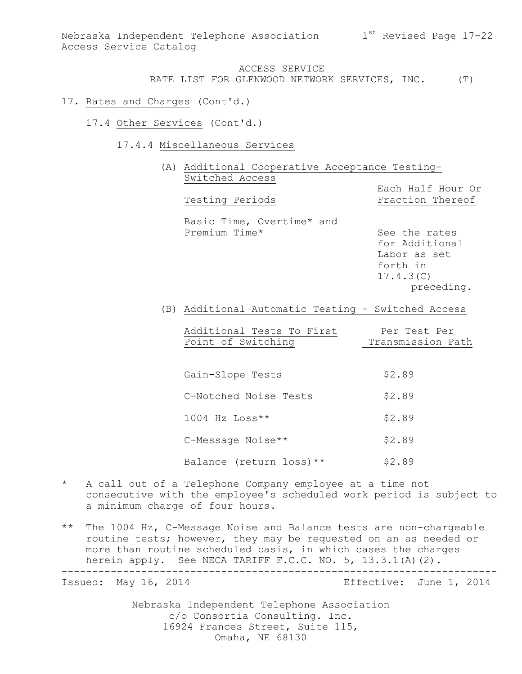Nebraska Independent Telephone Association  $1^{\rm st}$  Revised Page 17-22 Access Service Catalog

> ACCESS SERVICE RATE LIST FOR GLENWOOD NETWORK SERVICES, INC. (T)

#### 17. Rates and Charges (Cont'd.)

- 17.4 Other Services (Cont'd.)
	- 17.4.4 Miscellaneous Services

(A) Additional Cooperative Acceptance Testing-Switched Access Each Half Hour Or Testing Periods Fraction Thereof Basic Time, Overtime\* and

Premium Time\* See the rates

for Additional Labor as set forth in 17.4.3(C) preceding.

(B) Additional Automatic Testing - Switched Access

Additional Tests To First Per Test Per Point of Switching Transmission Path Ξ

Gain-Slope Tests \$2.89 C-Notched Noise Tests \$2.89  $1004$  Hz  $Loss**$  \$2.89 C-Message Noise\*\* \$2.89 Balance (return loss) \*\* \$2.89

- \* A call out of a Telephone Company employee at a time not consecutive with the employee's scheduled work period is subject to a minimum charge of four hours.
- \*\* The 1004 Hz, C-Message Noise and Balance tests are non-chargeable routine tests; however, they may be requested on an as needed or more than routine scheduled basis, in which cases the charges herein apply. See NECA TARIFF F.C.C. NO. 5, 13.3.1(A)(2). -----------------------------------------------------------------------

Issued: May 16, 2014 **Example 2014** Effective: June 1, 2014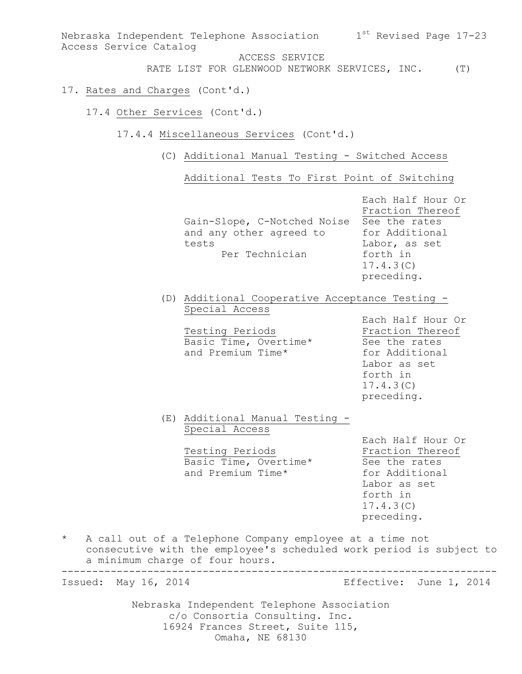Nebraska Independent Telephone Association  $1^\mathrm{st}$  Revised Page 17-23 Access Service Catalog ACCESS SERVICE RATE LIST FOR GLENWOOD NETWORK SERVICES, INC. (T) 17. Rates and Charges (Cont'd.) 17.4 Other Services (Cont'd.) 17.4.4 Miscellaneous Services (Cont'd.) (C) Additional Manual Testing - Switched Access Additional Tests To First Point of Switching Each Half Hour Or Fraction Thereof Gain-Slope, C-Notched Noise See the rates and any other agreed to for Additional tests Labor, as set Per Technician forth in 17.4.3(C) preceding. (D) Additional Cooperative Acceptance Testing - Special Access Each Half Hour Or Testing Periods **Fraction** Thereof Basic Time, Overtime\* See the rates and Premium Time\* for Additional Labor as set forth in 17.4.3(C) preceding. (E) Additional Manual Testing - Special Access Each Half Hour Or Testing Periods **Fraction** Thereof Basic Time, Overtime\* See the rates and Premium Time\* for Additional Labor as set forth in 17.4.3(C) preceding. \* A call out of a Telephone Company employee at a time not consecutive with the employee's scheduled work period is subject to a minimum charge of four hours. ----------------------------------------------------------------------- Issued: May 16, 2014 Effective: June 1, 2014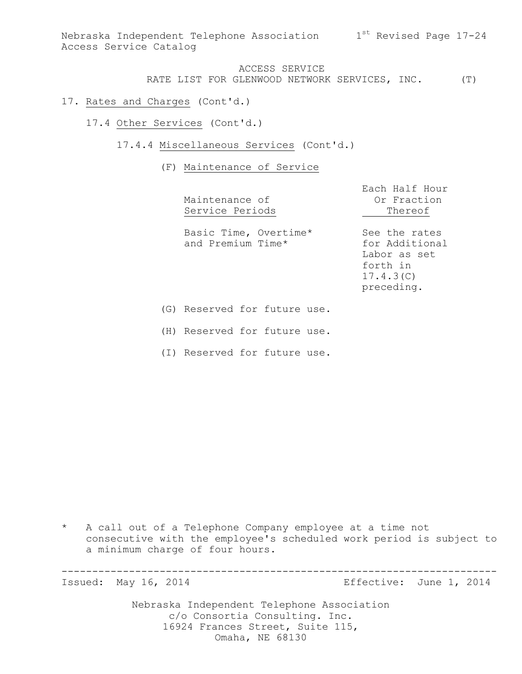Nebraska Independent Telephone Association  $1^\mathrm{st}$  Revised Page 17-24 Access Service Catalog

ACCESS SERVICE RATE LIST FOR GLENWOOD NETWORK SERVICES, INC. (T)

17. Rates and Charges (Cont'd.)

17.4 Other Services (Cont'd.)

17.4.4 Miscellaneous Services (Cont'd.)

(F) Maintenance of Service

| Maintenance of<br>Service Periods                              | Each Half Hour<br>Or Fraction<br>Thereof                                               |
|----------------------------------------------------------------|----------------------------------------------------------------------------------------|
| Basic Time, Overtime*<br>and Premium Time*                     | See the rates<br>for Additional<br>Labor as set<br>forth in<br>17.4.3(C)<br>preceding. |
| (G) Reserved for future use.                                   |                                                                                        |
| $\left( \begin{array}{ccc} 1 & 1 \\ 1 & 1 \end{array} \right)$ |                                                                                        |

(H) Reserved for future use.

(I) Reserved for future use.

\* A call out of a Telephone Company employee at a time not consecutive with the employee's scheduled work period is subject to a minimum charge of four hours.

-----------------------------------------------------------------------

Issued: May 16, 2014 Effective: June 1, 2014